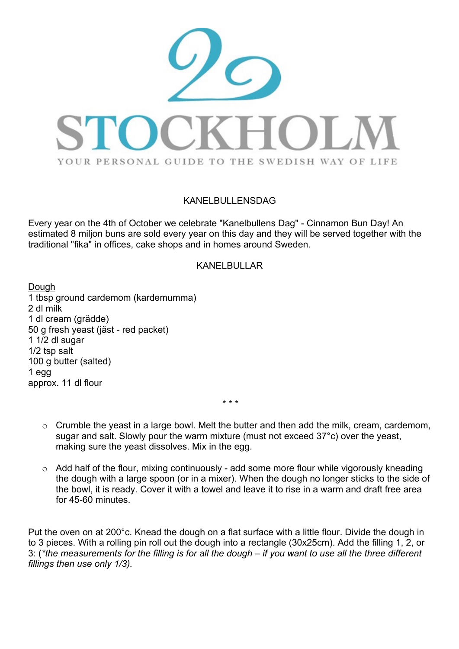

## KANFI BULLENSDAG

Every year on the 4th of October we celebrate "Kanelbullens Dag" - Cinnamon Bun Day! An estimated 8 miljon buns are sold every year on this day and they will be served together with the traditional "fika" in offices, cake shops and in homes around Sweden.

## KANELBULLAR

Dough 1 tbsp ground cardemom (kardemumma) 2 dl milk 1 dl cream (grädde) 50 g fresh yeast (jäst - red packet) 1 1/2 dl sugar 1/2 tsp salt 100 g butter (salted) 1 egg approx. 11 dl flour

*\* \* \**

- o Crumble the yeast in a large bowl. Melt the butter and then add the milk, cream, cardemom, sugar and salt. Slowly pour the warm mixture (must not exceed 37°c) over the yeast, making sure the yeast dissolves. Mix in the egg.
- $\circ$  Add half of the flour, mixing continuously add some more flour while vigorously kneading the dough with a large spoon (or in a mixer). When the dough no longer sticks to the side of the bowl, it is ready. Cover it with a towel and leave it to rise in a warm and draft free area for 45-60 minutes.

Put the oven on at 200°c. Knead the dough on a flat surface with a little flour. Divide the dough in to 3 pieces. With a rolling pin roll out the dough into a rectangle (30x25cm). Add the filling 1, 2, or 3: (*\*the measurements for the filling is for all the dough – if you want to use all the three different fillings then use only 1/3).*